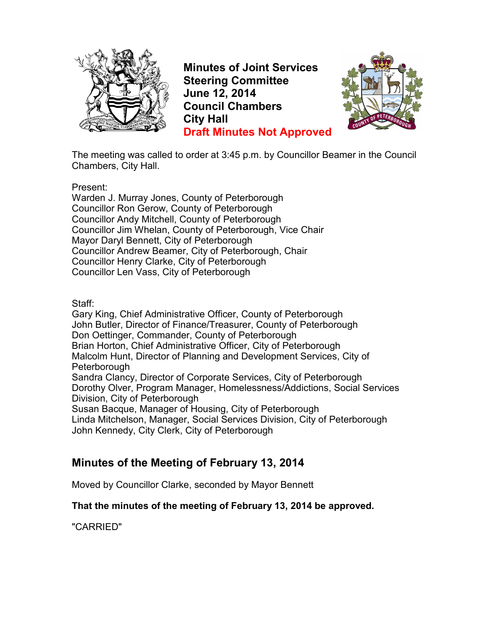

**Minutes of Joint Services Steering Committee June 12, 2014 Council Chambers City Hall Draft Minutes Not Approved**



The meeting was called to order at 3:45 p.m. by Councillor Beamer in the Council Chambers, City Hall.

Present:

Warden J. Murray Jones, County of Peterborough Councillor Ron Gerow, County of Peterborough Councillor Andy Mitchell, County of Peterborough Councillor Jim Whelan, County of Peterborough, Vice Chair Mayor Daryl Bennett, City of Peterborough Councillor Andrew Beamer, City of Peterborough, Chair Councillor Henry Clarke, City of Peterborough Councillor Len Vass, City of Peterborough

Staff:

Gary King, Chief Administrative Officer, County of Peterborough John Butler, Director of Finance/Treasurer, County of Peterborough Don Oettinger, Commander, County of Peterborough Brian Horton, Chief Administrative Officer, City of Peterborough Malcolm Hunt, Director of Planning and Development Services, City of Peterborough Sandra Clancy, Director of Corporate Services, City of Peterborough Dorothy Olver, Program Manager, Homelessness/Addictions, Social Services Division, City of Peterborough

Susan Bacque, Manager of Housing, City of Peterborough Linda Mitchelson, Manager, Social Services Division, City of Peterborough

John Kennedy, City Clerk, City of Peterborough

# **Minutes of the Meeting of February 13, 2014**

Moved by Councillor Clarke, seconded by Mayor Bennett

#### **That the minutes of the meeting of February 13, 2014 be approved.**

"CARRIED"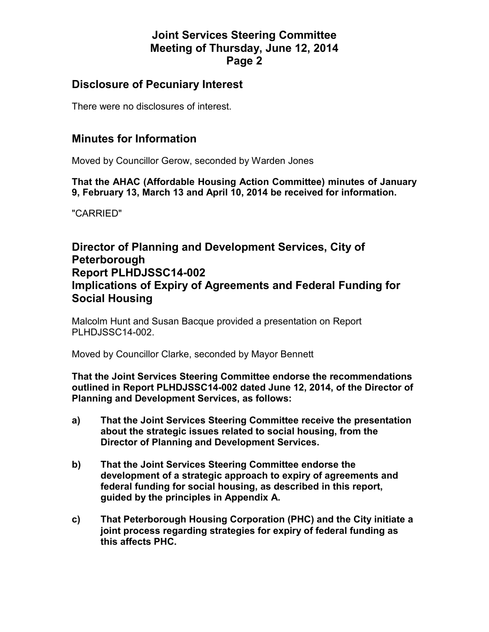#### **Disclosure of Pecuniary Interest**

There were no disclosures of interest.

#### **Minutes for Information**

Moved by Councillor Gerow, seconded by Warden Jones

**That the AHAC (Affordable Housing Action Committee) minutes of January 9, February 13, March 13 and April 10, 2014 be received for information.** 

"CARRIED"

# **Director of Planning and Development Services, City of Peterborough Report PLHDJSSC14-002 Implications of Expiry of Agreements and Federal Funding for Social Housing**

Malcolm Hunt and Susan Bacque provided a presentation on Report PLHDJSSC14-002.

Moved by Councillor Clarke, seconded by Mayor Bennett

**That the Joint Services Steering Committee endorse the recommendations outlined in Report PLHDJSSC14-002 dated June 12, 2014, of the Director of Planning and Development Services, as follows:** 

- **a) That the Joint Services Steering Committee receive the presentation about the strategic issues related to social housing, from the Director of Planning and Development Services.**
- **b) That the Joint Services Steering Committee endorse the development of a strategic approach to expiry of agreements and federal funding for social housing, as described in this report, guided by the principles in Appendix A.**
- **c) That Peterborough Housing Corporation (PHC) and the City initiate a joint process regarding strategies for expiry of federal funding as this affects PHC.**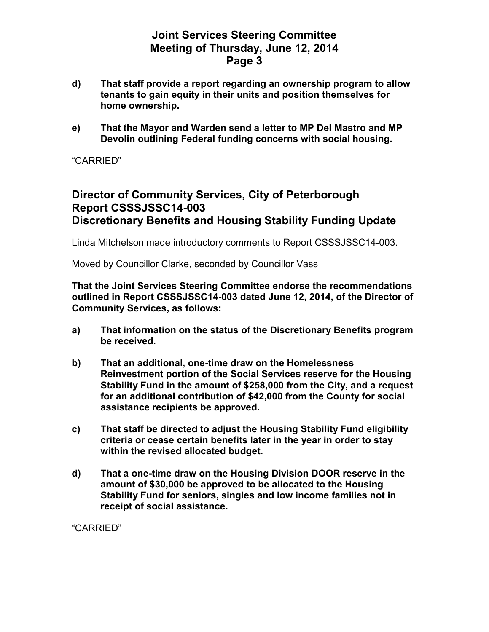- **d) That staff provide a report regarding an ownership program to allow tenants to gain equity in their units and position themselves for home ownership.**
- **e) That the Mayor and Warden send a letter to MP Del Mastro and MP Devolin outlining Federal funding concerns with social housing.**

"CARRIED"

# **Director of Community Services, City of Peterborough Report CSSSJSSC14-003 Discretionary Benefits and Housing Stability Funding Update**

Linda Mitchelson made introductory comments to Report CSSSJSSC14-003.

Moved by Councillor Clarke, seconded by Councillor Vass

**That the Joint Services Steering Committee endorse the recommendations outlined in Report CSSSJSSC14-003 dated June 12, 2014, of the Director of Community Services, as follows:** 

- **a) That information on the status of the Discretionary Benefits program be received.**
- **b) That an additional, one-time draw on the Homelessness Reinvestment portion of the Social Services reserve for the Housing Stability Fund in the amount of \$258,000 from the City, and a request for an additional contribution of \$42,000 from the County for social assistance recipients be approved.**
- **c) That staff be directed to adjust the Housing Stability Fund eligibility criteria or cease certain benefits later in the year in order to stay within the revised allocated budget.**
- **d) That a one-time draw on the Housing Division DOOR reserve in the amount of \$30,000 be approved to be allocated to the Housing Stability Fund for seniors, singles and low income families not in receipt of social assistance.**

"CARRIED"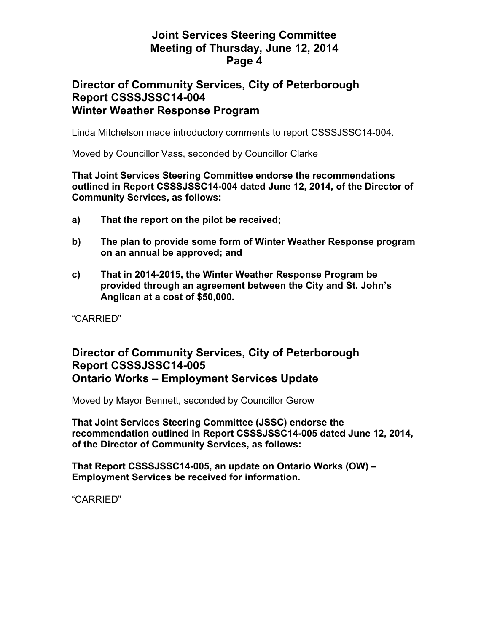#### **Director of Community Services, City of Peterborough Report CSSSJSSC14-004 Winter Weather Response Program**

Linda Mitchelson made introductory comments to report CSSSJSSC14-004.

Moved by Councillor Vass, seconded by Councillor Clarke

#### **That Joint Services Steering Committee endorse the recommendations outlined in Report CSSSJSSC14-004 dated June 12, 2014, of the Director of Community Services, as follows:**

- **a) That the report on the pilot be received;**
- **b) The plan to provide some form of Winter Weather Response program on an annual be approved; and**
- **c) That in 2014-2015, the Winter Weather Response Program be provided through an agreement between the City and St. John's Anglican at a cost of \$50,000.**

"CARRIED"

#### **Director of Community Services, City of Peterborough Report CSSSJSSC14-005 Ontario Works – Employment Services Update**

Moved by Mayor Bennett, seconded by Councillor Gerow

**That Joint Services Steering Committee (JSSC) endorse the recommendation outlined in Report CSSSJSSC14-005 dated June 12, 2014, of the Director of Community Services, as follows:** 

**That Report CSSSJSSC14-005, an update on Ontario Works (OW) – Employment Services be received for information.** 

"CARRIED"